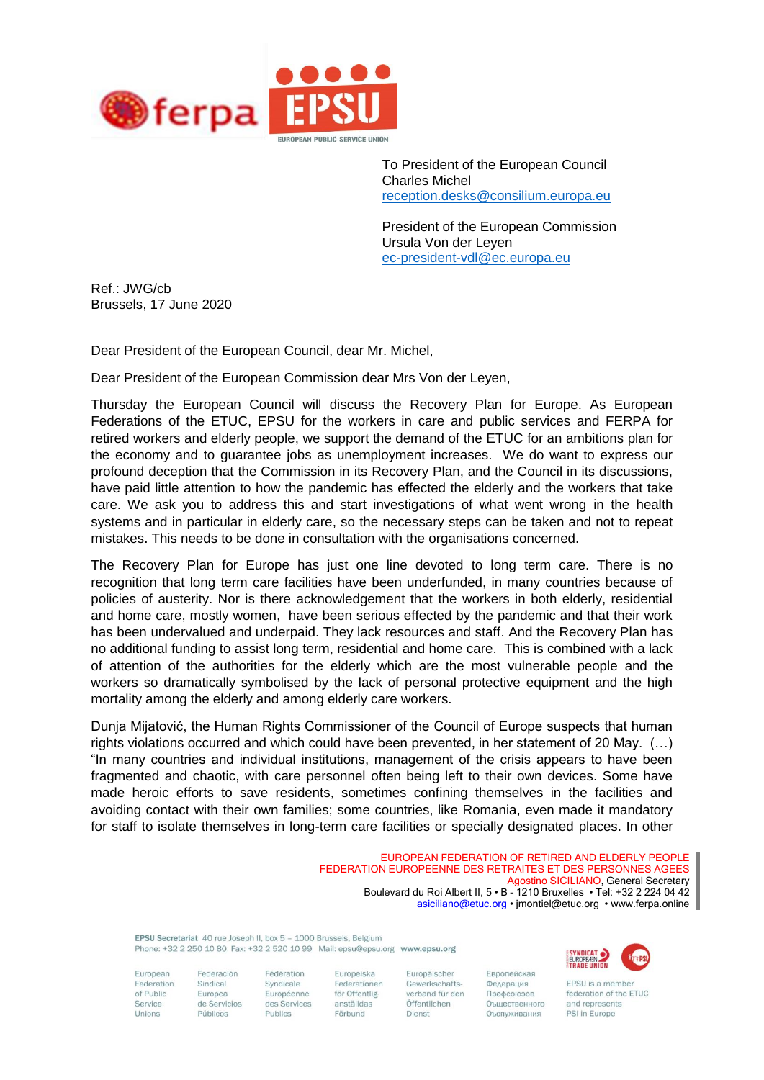

To President of the European Council Charles Michel [reception.desks@consilium.europa.eu](mailto:reception.desks@consilium.europa.eu)

President of the European Commission Ursula Von der Leyen [ec-president-vdl@ec.europa.eu](mailto:ec-president-vdl@ec.europa.eu)

Ref.: JWG/cb Brussels, 17 June 2020

Dear President of the European Council, dear Mr. Michel,

Dear President of the European Commission dear Mrs Von der Leyen,

Thursday the European Council will discuss the Recovery Plan for Europe. As European Federations of the ETUC, EPSU for the workers in care and public services and FERPA for retired workers and elderly people, we support the demand of the ETUC for an ambitions plan for the economy and to guarantee jobs as unemployment increases. We do want to express our profound deception that the Commission in its Recovery Plan, and the Council in its discussions, have paid little attention to how the pandemic has effected the elderly and the workers that take care. We ask you to address this and start investigations of what went wrong in the health systems and in particular in elderly care, so the necessary steps can be taken and not to repeat mistakes. This needs to be done in consultation with the organisations concerned.

The Recovery Plan for Europe has just one line devoted to long term care. There is no recognition that long term care facilities have been underfunded, in many countries because of policies of austerity. Nor is there acknowledgement that the workers in both elderly, residential and home care, mostly women, have been serious effected by the pandemic and that their work has been undervalued and underpaid. They lack resources and staff. And the Recovery Plan has no additional funding to assist long term, residential and home care. This is combined with a lack of attention of the authorities for the elderly which are the most vulnerable people and the workers so dramatically symbolised by the lack of personal protective equipment and the high mortality among the elderly and among elderly care workers.

Dunja Mijatović, the Human Rights Commissioner of the Council of Europe suspects that human rights violations occurred and which could have been prevented, in her statement of 20 May. (…) "In many countries and individual institutions, management of the crisis appears to have been fragmented and chaotic, with care personnel often being left to their own devices. Some have made heroic efforts to save residents, sometimes confining themselves in the facilities and avoiding contact with their own families; some countries, like Romania, even made it mandatory for staff to isolate themselves in long-term care facilities or specially designated places. In other

> EUROPEAN FEDERATION OF RETIRED AND ELDERLY PEOPLE FEDERATION EUROPEENNE DES RETRAITES ET DES PERSONNES AGEES Agostino SICILIANO, General Secretary Boulevard du Roi Albert II, 5 • B – 1210 Bruxelles • Tel: +32 2 224 04 42 [asiciliano@etuc.org](mailto:asiciliano@etuc.org) • jmontiel@etuc.org • www.ferpa.online

FPSILSecretariat 40 rue Ioseph II, box 5 - 1000 Brussels, Beldium Phone: +32 2 250 10 80 Fax: +32 2 520 10 99 Mail: epsu@epsu.org www.epsu.org

Syndicale

Publics

European Federation of Public Service Unions

Federación Sindical Europea de Servicios Públicos

Fédération Europeiska Federationen Européenne för Offentliganställdas des Services Förbund

Europäischer Gewerkschaftsverband für den Öffentlichen Dienst

Европейская Федерация Профсоюзов Оъщественного Оъспуживания



EPSU is a member federation of the ETUC and represents PSI in Europe